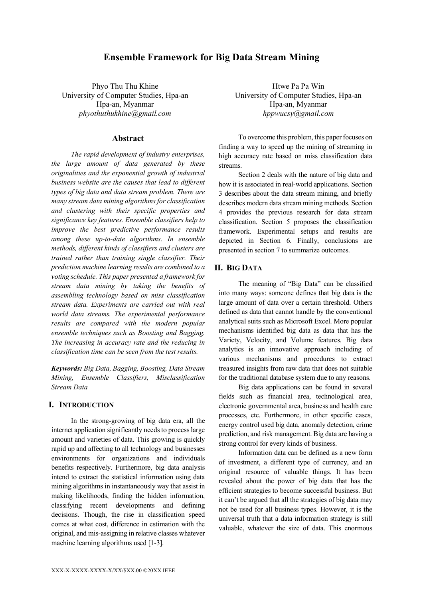# **Ensemble Framework for Big Data Stream Mining**

Phyo Thu Thu Khine University of Computer Studies, Hpa-an Hpa-an, Myanmar *phyothuthukhine@gmail.com*

# **Abstract**

*The rapid development of industry enterprises, the large amount of data generated by these originalities and the exponential growth of industrial business website are the causes that lead to different types of big data and data stream problem. There are many stream data mining algorithms for classification and clustering with their specific properties and significance key features. Ensemble classifiers help to improve the best predictive performance results among these up-to-date algorithms. In ensemble methods, different kinds of classifiers and clusters are trained rather than training single classifier. Their prediction machine learning results are combined to a voting schedule. This paper presented a framework for stream data mining by taking the benefits of assembling technology based on miss classification stream data. Experiments are carried out with real world data streams. The experimental performance results are compared with the modern popular ensemble techniques such as Boosting and Bagging. The increasing in accuracy rate and the reducing in classification time can be seen from the test results.*

*Keywords: Big Data, Bagging, Boosting, Data Stream Mining, Ensemble Classifiers, Misclassification Stream Data*

## **I. INTRODUCTION**

In the strong-growing of big data era, all the internet application significantly needs to process large amount and varieties of data. This growing is quickly rapid up and affecting to all technology and businesses environments for organizations and individuals benefits respectively. Furthermore, big data analysis intend to extract the statistical information using data mining algorithms in instantaneously way that assist in making likelihoods, finding the hidden information, classifying recent developments and defining decisions. Though, the rise in classification speed comes at what cost, difference in estimation with the original, and mis-assigning in relative classes whatever machine learning algorithms used [1-3].

Htwe Pa Pa Win University of Computer Studies, Hpa-an Hpa-an, Myanmar *hppwucsy@gmail.com*

To overcome this problem, this paper focuses on finding a way to speed up the mining of streaming in high accuracy rate based on miss classification data streams.

Section 2 deals with the nature of big data and how it is associated in real-world applications. Section 3 describes about the data stream mining, and briefly describes modern data stream mining methods. Section 4 provides the previous research for data stream classification. Section 5 proposes the classification framework. Experimental setups and results are depicted in Section 6. Finally, conclusions are presented in section 7 to summarize outcomes.

# **II. BIG DATA**

The meaning of "Big Data" can be classified into many ways: someone defines that big data is the large amount of data over a certain threshold. Others defined as data that cannot handle by the conventional analytical suits such as Microsoft Excel. More popular mechanisms identified big data as data that has the Variety, Velocity, and Volume features. Big data analytics is an innovative approach including of various mechanisms and procedures to extract treasured insights from raw data that does not suitable for the traditional database system due to any reasons.

Big data applications can be found in several fields such as financial area, technological area, electronic governmental area, business and health care processes, etc. Furthermore, in other specific cases, energy control used big data, anomaly detection, crime prediction, and risk management. Big data are having a strong control for every kinds of business.

Information data can be defined as a new form of investment, a different type of currency, and an original resource of valuable things. It has been revealed about the power of big data that has the efficient strategies to become successful business. But it can't be argued that all the strategies of big data may not be used for all business types. However, it is the universal truth that a data information strategy is still valuable, whatever the size of data. This enormous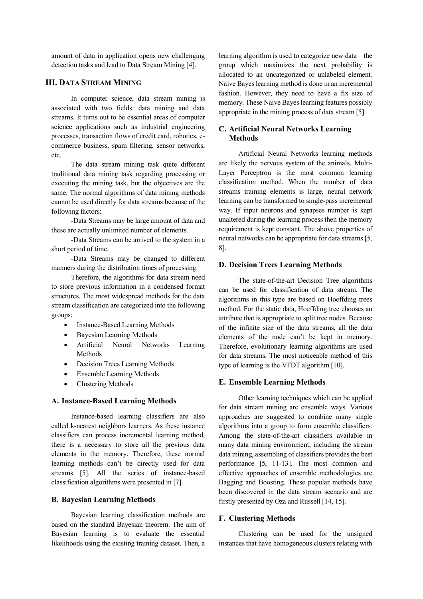amount of data in application opens new challenging detection tasks and lead to Data Stream Mining [4].

# **III. DATA STREAM MINING**

In computer science, data stream mining is associated with two fields: data mining and data streams. It turns out to be essential areas of computer science applications such as industrial engineering processes, transaction flows of credit card, robotics, ecommerce business, spam filtering, sensor networks, etc.

The data stream mining task quite different traditional data mining task regarding processing or executing the mining task, but the objectives are the same. The normal algorithms of data mining methods cannot be used directly for data streams because of the following factors:

-Data Streams may be large amount of data and these are actually unlimited number of elements.

-Data Streams can be arrived to the system in a short period of time.

-Data Streams may be changed to different manners during the distribution times of processing.

Therefore, the algorithms for data stream need to store previous information in a condensed format structures. The most widespread methods for the data stream classification are categorized into the following groups;

- Instance-Based Learning Methods
- Bayesian Learning Methods
- Artificial Neural Networks Learning Methods
- Decision Trees Learning Methods
- Ensemble Learning Methods
- Clustering Methods

#### **A. Instance-Based Learning Methods**

Instance-based learning classifiers are also called k-nearest neighbors learners. As these instance classifiers can process incremental learning method, there is a necessary to store all the previous data elements in the memory. Therefore, these normal learning methods can't be directly used for data streams [5]. All the series of instance-based classification algorithms were presented in [7].

### **B. Bayesian Learning Methods**

Bayesian learning classification methods are based on the standard Bayesian theorem. The aim of Bayesian learning is to evaluate the essential likelihoods using the existing training dataset. Then, a learning algorithm is used to categorize new data—the group which maximizes the next probability is allocated to an uncategorized or unlabeled element. Naive Bayes learning method is done in an incremental fashion. However, they need to have a fix size of memory. These Naive Bayes learning features possibly appropriate in the mining process of data stream [5].

# **C. Artificial Neural Networks Learning Methods**

Artificial Neural Networks learning methods are likely the nervous system of the animals. Multi-Layer Perceptron is the most common learning classification method. When the number of data streams training elements is large, neural network learning can be transformed to single-pass incremental way. If input neurons and synapses number is kept unaltered during the learning process then the memory requirement is kept constant. The above properties of neural networks can be appropriate for data streams [5, 8].

#### **D. Decision Trees Learning Methods**

The state-of-the-art Decision Tree algorithms can be used for classification of data stream. The algorithms in this type are based on Hoeffding trees method. For the static data, Hoeffding tree chooses an attribute that is appropriate to split tree nodes. Because of the infinite size of the data streams, all the data elements of the node can't be kept in memory. Therefore, evolutionary learning algorithms are used for data streams. The most noticeable method of this type of learning is the VFDT algorithm [10].

#### **E. Ensemble Learning Methods**

Other learning techniques which can be applied for data stream mining are ensemble ways. Various approaches are suggested to combine many single algorithms into a group to form ensemble classifiers. Among the state-of-the-art classifiers available in many data mining environment, including the stream data mining, assembling of classifiers provides the best performance [5, 11-13]. The most common and effective approaches of ensemble methodologies are Bagging and Boosting. These popular methods have been discovered in the data stream scenario and are firstly presented by Oza and Russell [14, 15].

### **F. Clustering Methods**

Clustering can be used for the unsigned instances that have homogeneous clusters relating with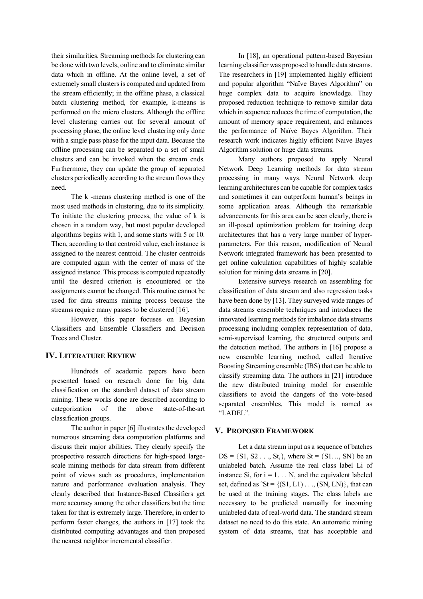their similarities. Streaming methods for clustering can be done with two levels, online and to eliminate similar data which in offline. At the online level, a set of extremely small clusters is computed and updated from the stream efficiently; in the offline phase, a classical batch clustering method, for example, k-means is performed on the micro clusters. Although the offline level clustering carries out for several amount of processing phase, the online level clustering only done with a single pass phase for the input data. Because the offline processing can be separated to a set of small clusters and can be invoked when the stream ends. Furthermore, they can update the group of separated clusters periodically according to the stream flows they need.

The k -means clustering method is one of the most used methods in clustering, due to its simplicity. To initiate the clustering process, the value of k is chosen in a random way, but most popular developed algorithms begins with 1, and some starts with 5 or 10. Then, according to that centroid value, each instance is assigned to the nearest centroid. The cluster centroids are computed again with the center of mass of the assigned instance. This process is computed repeatedly until the desired criterion is encountered or the assignments cannot be changed. This routine cannot be used for data streams mining process because the streams require many passes to be clustered [16].

However, this paper focuses on Bayesian Classifiers and Ensemble Classifiers and Decision Trees and Cluster.

# **IV. LITERATURE REVIEW**

Hundreds of academic papers have been presented based on research done for big data classification on the standard dataset of data stream mining. These works done are described according to categorization of the above state-of-the-art classification groups.

The author in paper [6] illustrates the developed numerous streaming data computation platforms and discuss their major abilities. They clearly specify the prospective research directions for high-speed largescale mining methods for data stream from different point of views such as procedures, implementation nature and performance evaluation analysis. They clearly described that Instance-Based Classifiers get more accuracy among the other classifiers but the time taken for that is extremely large. Therefore, in order to perform faster changes, the authors in [17] took the distributed computing advantages and then proposed the nearest neighbor incremental classifier.

In [18], an operational pattern-based Bayesian learning classifier was proposed to handle data streams. The researchers in [19] implemented highly efficient and popular algorithm "Naïve Bayes Algorithm" on huge complex data to acquire knowledge. They proposed reduction technique to remove similar data which in sequence reduces the time of computation, the amount of memory space requirement, and enhances the performance of Naïve Bayes Algorithm. Their research work indicates highly efficient Naive Bayes Algorithm solution or huge data streams.

Many authors proposed to apply Neural Network Deep Learning methods for data stream processing in many ways. Neural Network deep learning architectures can be capable for complex tasks and sometimes it can outperform human's beings in some application areas. Although the remarkable advancements for this area can be seen clearly, there is an ill-posed optimization problem for training deep architectures that has a very large number of hyperparameters. For this reason, modification of Neural Network integrated framework has been presented to get online calculation capabilities of highly scalable solution for mining data streams in [20].

Extensive surveys research on assembling for classification of data stream and also regression tasks have been done by [13]. They surveyed wide ranges of data streams ensemble techniques and introduces the innovated learning methods for imbalance data streams processing including complex representation of data, semi-supervised learning, the structured outputs and the detection method. The authors in [16] propose a new ensemble learning method, called Iterative Boosting Streaming ensemble (IBS) that can be able to classify streaming data. The authors in [21] introduce the new distributed training model for ensemble classifiers to avoid the dangers of the vote-based separated ensembles. This model is named as "LADEL".

### **V. PROPOSED FRAMEWORK**

Let a data stream input as a sequence of batches  $DS = \{S1, S2, \ldots, St\}$ , where  $St = \{S1, \ldots, SN\}$  be an unlabeled batch. Assume the real class label Li of instance Si, for  $i = 1, \ldots N$ , and the equivalent labeled set, defined as  $\text{St} = \{ (\text{S1}, \text{L1}) \dots (\text{SN}, \text{LN}) \}$ , that can be used at the training stages. The class labels are necessary to be predicted manually for incoming unlabeled data of real-world data. The standard stream dataset no need to do this state. An automatic mining system of data streams, that has acceptable and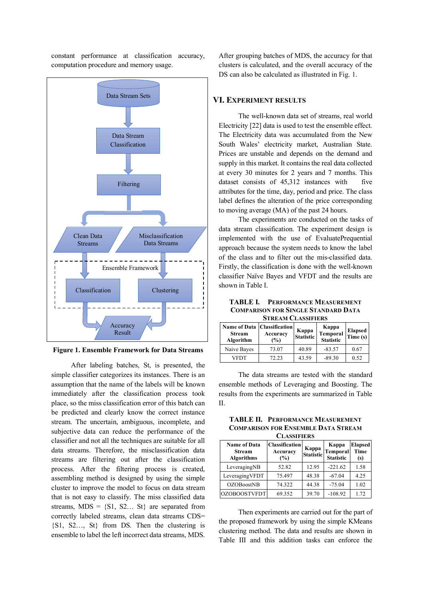constant performance at classification accuracy, computation procedure and memory usage.



**Figure 1. Ensemble Framework for Data Streams**

After labeling batches, St, is presented, the simple classifier categorizes its instances. There is an assumption that the name of the labels will be known immediately after the classification process took place, so the miss classification error of this batch can be predicted and clearly know the correct instance stream. The uncertain, ambiguous, incomplete, and subjective data can reduce the performance of the classifier and not all the techniques are suitable for all data streams. Therefore, the misclassification data streams are filtering out after the classification process. After the filtering process is created, assembling method is designed by using the simple cluster to improve the model to focus on data stream that is not easy to classify. The miss classified data streams,  $MDS = \{S1, S2, \ldots, St\}$  are separated from correctly labeled streams, clean data streams CDS= {S1, S2…, St} from DS. Then the clustering is ensemble to label the left incorrect data streams, MDS.

After grouping batches of MDS, the accuracy for that clusters is calculated, and the overall accuracy of the DS can also be calculated as illustrated in Fig. 1.

## **VI. EXPERIMENT RESULTS**

The well-known data set of streams, real world Electricity [22] data is used to test the ensemble effect. The Electricity data was accumulated from the New South Wales' electricity market, Australian State. Prices are unstable and depends on the demand and supply in this market. It contains the real data collected at every 30 minutes for 2 years and 7 months. This dataset consists of 45,312 instances with five attributes for the time, day, period and price. The class label defines the alteration of the price corresponding to moving average (MA) of the past 24 hours.

The experiments are conducted on the tasks of data stream classification. The experiment design is implemented with the use of EvaluatePrequential approach because the system needs to know the label of the class and to filter out the mis-classified data. Firstly, the classification is done with the well-known classifier Naïve Bayes and VFDT and the results are shown in Table I.

**TABLE I. PERFORMANCE MEASUREMENT COMPARISON FOR SINGLE STANDARD DATA STREAM CLASSIFIERS**

| Name of Data   Classification  <br><b>Stream</b><br>Algorithm | Accuracy<br>$\frac{1}{2}$ | Kappa<br><b>Statistic</b> | Kappa<br>Temporal<br><b>Statistic</b> | <b>Elapsed</b><br>Time(s) |
|---------------------------------------------------------------|---------------------------|---------------------------|---------------------------------------|---------------------------|
| Naive Bayes                                                   | 73.07                     | 40.89                     | $-83.57$                              | 0.67                      |
| VFDT                                                          | 72.23                     | 43.59                     | $-89.30$                              | 0.52                      |

The data streams are tested with the standard ensemble methods of Leveraging and Boosting. The results from the experiments are summarized in Table II.

**TABLE II. PERFORMANCE MEASUREMENT COMPARISON FOR ENSEMBLE DATA STREAM**  CLASSIFIERS

| CLASSIFILINS                                              |                                             |                    |                                       |                                      |  |
|-----------------------------------------------------------|---------------------------------------------|--------------------|---------------------------------------|--------------------------------------|--|
| <b>Name of Data</b><br><b>Stream</b><br><b>Algorithms</b> | <b>Classification</b><br>Accuracy<br>$(\%)$ | Kappa<br>Statistic | Kappa<br>Temporal<br><b>Statistic</b> | <b>Elapsed</b><br><b>Time</b><br>(s) |  |
| LeveragingNB                                              | 52.82                                       | 12.95              | $-221.62$                             | 1.58                                 |  |
| LeveragingVFDT                                            | 75.497                                      | 48.38              | $-67.04$                              | 4.25                                 |  |
| OZOBoostNB                                                | 74.322                                      | 44.38              | $-75.04$                              | 1.02                                 |  |
| <b>OZOBOOSTVFDT</b>                                       | 69.352                                      | 39.70              | $-108.92$                             | 1.72                                 |  |

Then experiments are carried out for the part of the proposed framework by using the simple KMeans clustering method. The data and results are shown in Table III and this addition tasks can enforce the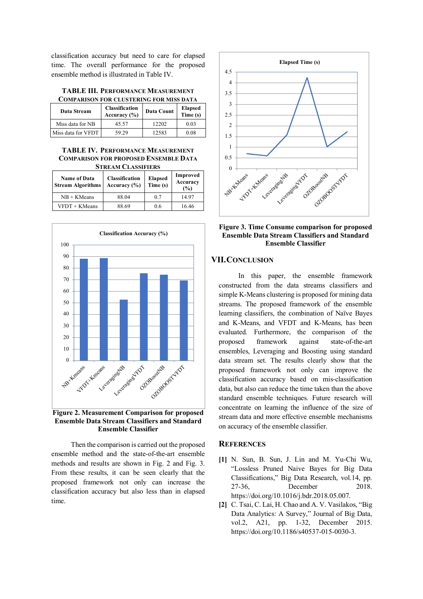classification accuracy but need to care for elapsed time. The overall performance for the proposed ensemble method is illustrated in Table IV.

| <b>TABLE III. PERFORMANCE MEASUREMENT</b> |  |  |  |
|-------------------------------------------|--|--|--|
| COMPARISON FOR CLUSTERING FOR MISS DATA   |  |  |  |

| Data Stream        | Classification<br>Accuracy $(\% )$ | Data Count | <b>Elapsed</b><br>Time (s) |  |
|--------------------|------------------------------------|------------|----------------------------|--|
| Miss data for NB   | 45.57                              | 12202      | 0.03                       |  |
| Miss data for VFDT | 59.29                              | 12583      | 0.08                       |  |

#### **TABLE IV. PERFORMANCE MEASUREMENT COMPARISON FOR PROPOSED ENSEMBLE DATA STREAM CLASSIFIERS**

| <b>Name of Data</b><br><b>Stream Algorithms</b> | Classification<br>Accuracy $(\% )$ | <b>Elapsed</b><br>Time (s) | Improved<br>Accuracy<br>(%) |  |
|-------------------------------------------------|------------------------------------|----------------------------|-----------------------------|--|
| $NB + KMeans$                                   | 88.04                              | 0.7                        | 14.97                       |  |
| VFDT + KMeans                                   | 88.69                              | 0.6                        | 16.46                       |  |



**Figure 2. Measurement Comparison for proposed Ensemble Data Stream Classifiers and Standard Ensemble Classifier**

Then the comparison is carried out the proposed ensemble method and the state-of-the-art ensemble methods and results are shown in Fig. 2 and Fig. 3. From these results, it can be seen clearly that the proposed framework not only can increase the classification accuracy but also less than in elapsed time.





# **VII.CONCLUSION**

In this paper, the ensemble framework constructed from the data streams classifiers and simple K-Means clustering is proposed for mining data streams. The proposed framework of the ensemble learning classifiers, the combination of Naïve Bayes and K-Means, and VFDT and K-Means, has been evaluated. Furthermore, the comparison of the proposed framework against state-of-the-art ensembles, Leveraging and Boosting using standard data stream set. The results clearly show that the proposed framework not only can improve the classification accuracy based on mis-classification data, but also can reduce the time taken than the above standard ensemble techniques. Future research will concentrate on learning the influence of the size of stream data and more effective ensemble mechanisms on accuracy of the ensemble classifier.

## **REFERENCES**

- **[1]** N. Sun, B. Sun, J. Lin and M. Yu-Chi Wu, "Lossless Pruned Naive Bayes for Big Data Classifications," Big Data Research, vol.14, pp. 27-36, December 2018. https://doi.org/10.1016/j.bdr.2018.05.007.
- **[2]** C. Tsai, C. Lai, H. Chao and A. V. Vasilakos, "Big Data Analytics: A Survey," Journal of Big Data, vol.2, A21, pp. 1-32, December 2015. https://doi.org/10.1186/s40537-015-0030-3.